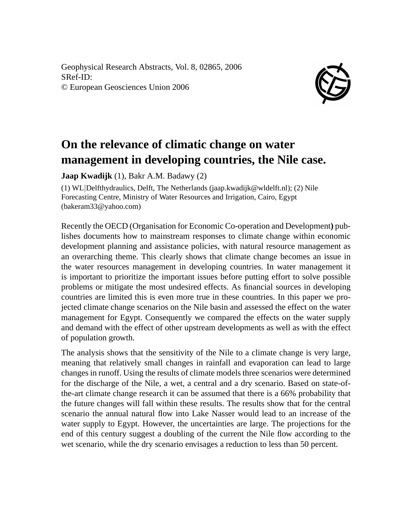Geophysical Research Abstracts, Vol. 8, 02865, 2006 SRef-ID: © European Geosciences Union 2006



## **On the relevance of climatic change on water management in developing countries, the Nile case.**

**Jaap Kwadijk** (1), Bakr A.M. Badawy (2)

(1) WL|Delfthydraulics, Delft, The Netherlands (jaap.kwadijk@wldelft.nl); (2) Nile Forecasting Centre, Ministry of Water Resources and Irrigation, Cairo, Egypt (bakeram33@yahoo.com)

Recently the OECD (Organisation for Economic Co-operation and Development**)** publishes documents how to mainstream responses to climate change within economic development planning and assistance policies, with natural resource management as an overarching theme. This clearly shows that climate change becomes an issue in the water resources management in developing countries. In water management it is important to prioritize the important issues before putting effort to solve possible problems or mitigate the most undesired effects. As financial sources in developing countries are limited this is even more true in these countries. In this paper we projected climate change scenarios on the Nile basin and assessed the effect on the water management for Egypt. Consequently we compared the effects on the water supply and demand with the effect of other upstream developments as well as with the effect of population growth.

The analysis shows that the sensitivity of the Nile to a climate change is very large, meaning that relatively small changes in rainfall and evaporation can lead to large changes in runoff. Using the results of climate models three scenarios were determined for the discharge of the Nile, a wet, a central and a dry scenario. Based on state-ofthe-art climate change research it can be assumed that there is a 66% probability that the future changes will fall within these results. The results show that for the central scenario the annual natural flow into Lake Nasser would lead to an increase of the water supply to Egypt. However, the uncertainties are large. The projections for the end of this century suggest a doubling of the current the Nile flow according to the wet scenario, while the dry scenario envisages a reduction to less than 50 percent.